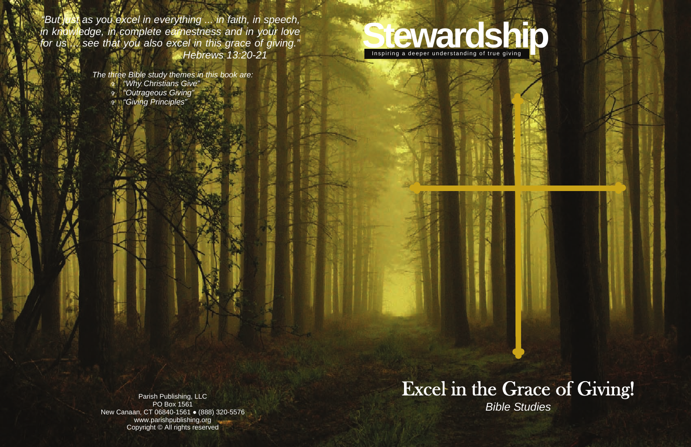# Inspiring a deeper understanding of true giving

## Excel in the Grace of Giving! *Bible Studies*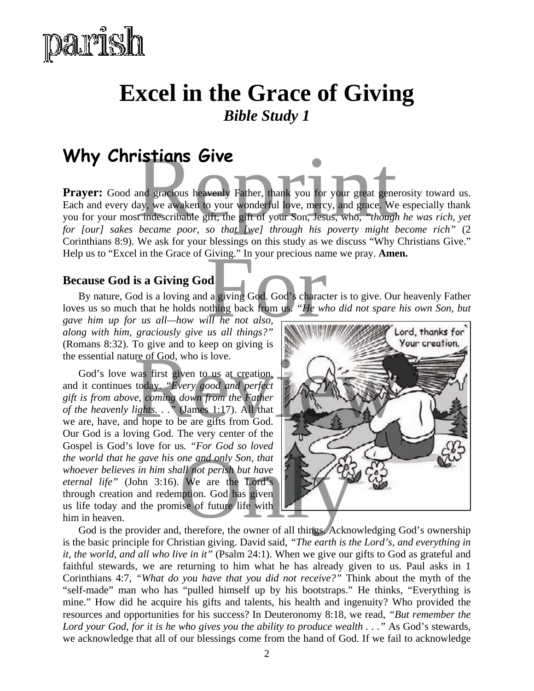

## **Excel in the Grace of Giving**  *Bible Study 1*

### **Why Christians Give**

**Prayer:** Good and gracious heavenly Father, thank you for your great generosity toward us. Each and every day, we awaken to your wonderful love, mercy, and grace. We especially thank you for your most indescribable gift, the gift of your Son, Jesus, who, *"though he was rich, yet for [our] sakes became poor, so that [we] through his poverty might become rich"* (2 Corinthians 8:9). We ask for your blessings on this study as we discuss "Why Christians Give." Help us to "Excel in the Grace of Giving." In your precious name we pray. **Amen. istians Give**<br>and gracious heavenly Father, thank you for your great generosity<br>ay, we awaken to your wonderful love, mercy, and grace. We espect<br>indescribable gift, the gift of your Son, Jesus, who, "though he v<br>became p

#### **Because God is a Giving God**

By nature, God is a loving and a giving God. God's character is to give. Our heavenly Father loves us so much that he holds nothing back from us. *"He who did not spare his own Son, but*  Giving." In your precious name we<br>
d<br>
l a giving God. God's character is<br>
othing back from us. "He who die<br>
ill he not also,<br>
us all things?"

*gave him up for us all—how will he not also, along with him, graciously give us all things?"* (Romans 8:32). To give and to keep on giving is the essential nature of God, who is love.

God's love was first given to us at creation, and it continues today. *"Every good and perfect gift is from above, coming down from the Father of the heavenly lights. . .*" (James 1:17). All that we are, have, and hope to be are gifts from God. Our God is a loving God. The very center of the Gospel is God's love for us*. "For God so loved the world that he gave his one and only Son, that whoever believes in him shall not perish but have eternal life"* (John 3:16). We are the Lord's through creation and redemption. God has given us life today and the promise of future life with him in heaven. World that he gave his one and only Son, that<br>world that he gave his one and only Son, that<br>mal life" (John 3:16). We are the Lord's<br>ugh creation and redemption. God has given<br>ife today and the promise of future life with<br>



is the basic principle for Christian giving. David said, *"The earth is the Lord's, and everything in it, the world, and all who live in it"* (Psalm 24:1). When we give our gifts to God as grateful and faithful stewards, we are returning to him what he has already given to us. Paul asks in 1 Corinthians 4:7, *"What do you have that you did not receive?"* Think about the myth of the "self-made" man who has "pulled himself up by his bootstraps." He thinks, "Everything is mine." How did he acquire his gifts and talents, his health and ingenuity? Who provided the resources and opportunities for his success? In Deuteronomy 8:18, we read, *"But remember the Lord your God, for it is he who gives you the ability to produce wealth . . ."* As God's stewards, we acknowledge that all of our blessings come from the hand of God. If we fail to acknowledge